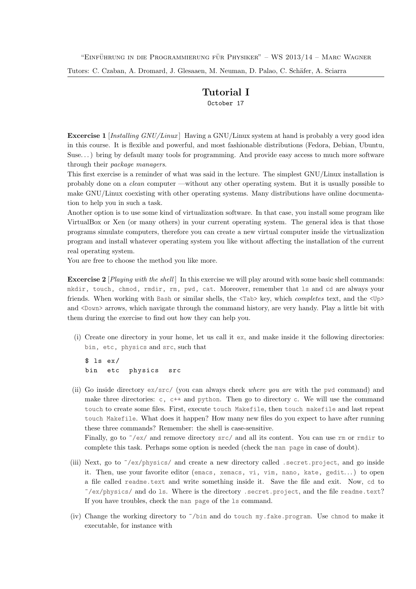Tutors: C. Czaban, A. Dromard, J. Glesaaen, M. Neuman, D. Palao, C. Schäfer, A. Sciarra

## Tutorial I October 17

**Excercise 1** [Installing  $GNU/Linux$ ] Having a GNU/Linux system at hand is probably a very good idea in this course. It is flexible and powerful, and most fashionable distributions (Fedora, Debian, Ubuntu, Suse. . . ) bring by default many tools for programming. And provide easy access to much more software through their package managers.

This first exercise is a reminder of what was said in the lecture. The simplest GNU/Linux installation is probably done on a clean computer —without any other operating system. But it is usually possible to make GNU/Linux coexisting with other operating systems. Many distributions have online documentation to help you in such a task.

Another option is to use some kind of virtualization software. In that case, you install some program like VirtualBox or Xen (or many others) in your current operating system. The general idea is that those programs simulate computers, therefore you can create a new virtual computer inside the virtualization program and install whatever operating system you like without affecting the installation of the current real operating system.

You are free to choose the method you like more.

Excercise 2 [*Playing with the shell*] In this exercise we will play around with some basic shell commands: mkdir, touch, chmod, rmdir, rm, pwd, cat. Moreover, remember that ls and cd are always your friends. When working with Bash or similar shells, the <Tab> key, which completes text, and the <Up> and <Down> arrows, which navigate through the command history, are very handy. Play a little bit with them during the exercise to find out how they can help you.

(i) Create one directory in your home, let us call it ex, and make inside it the following directories: bin, etc, physics and src, such that

 $$ 1s eX/$ bin etc physics src

(ii) Go inside directory ex/src/ (you can always check where you are with the pwd command) and make three directories:  $c, c++$  and python. Then go to directory c. We will use the command touch to create some files. First, execute touch Makefile, then touch makefile and last repeat touch Makefile. What does it happen? How many new files do you expect to have after running these three commands? Remember: the shell is case-sensitive.

Finally, go to  $\gamma$ /ex/ and remove directory src/ and all its content. You can use rm or rmdir to complete this task. Perhaps some option is needed (check the man page in case of doubt).

- (iii) Next, go to ~/ex/physics/ and create a new directory called .secret.project, and go inside it. Then, use your favorite editor (emacs, xemacs, vi, vim, nano, kate, gedit...) to open a file called readme.text and write something inside it. Save the file and exit. Now, cd to  $\gamma$ /ex/physics/ and do 1s. Where is the directory .secret.project, and the file readme.text? If you have troubles, check the man page of the ls command.
- (iv) Change the working directory to ~/bin and do touch my.fake.program. Use chmod to make it executable, for instance with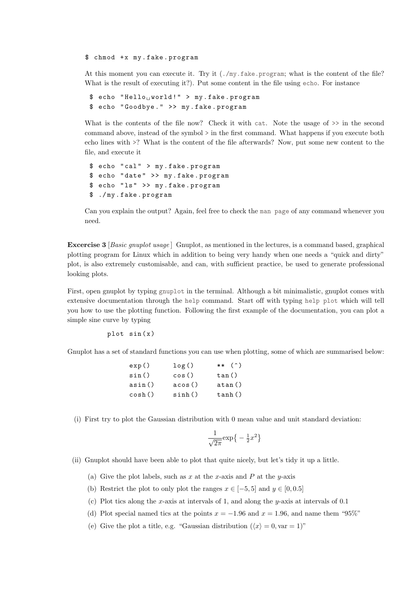## \$ chmod +x my.fake.program

At this moment you can execute it. Try it (./my.fake.program; what is the content of the file? What is the result of executing it?). Put some content in the file using echo. For instance

```
$ echo "Hello<sub>u</sub>world!" > my.fake.program
$ echo " Goodbye . " >> my . fake . program
```
What is the contents of the file now? Check it with cat. Note the usage of  $\gg$  in the second command above, instead of the symbol > in the first command. What happens if you execute both echo lines with >? What is the content of the file afterwards? Now, put some new content to the file, and execute it

```
$ echo " cal " > my . fake . program
$ echo " date " >> my . fake . program
$ echo "ls" >> my.fake.program
$ ./ my . fake . program
```
Can you explain the output? Again, feel free to check the man page of any command whenever you need.

Excercise 3 [Basic gnuplot usage ] Gnuplot, as mentioned in the lectures, is a command based, graphical plotting program for Linux which in addition to being very handy when one needs a "quick and dirty" plot, is also extremely customisable, and can, with sufficient practice, be used to generate professional looking plots.

First, open gnuplot by typing gnuplot in the terminal. Although a bit minimalistic, gnuplot comes with extensive documentation through the help command. Start off with typing help plot which will tell you how to use the plotting function. Following the first example of the documentation, you can plot a simple sine curve by typing

 $plot sin(x)$ 

Gnuplot has a set of standard functions you can use when plotting, some of which are summarised below:

| exp()  | log()  | $**$ (^) |
|--------|--------|----------|
| sin()  | cos()  | tan()    |
| asin() | acos() | atan()   |
| cosh() | sinh() | tanh()   |

(i) First try to plot the Gaussian distribution with 0 mean value and unit standard deviation:

$$
\frac{1}{\sqrt{2\pi}}\exp\left\{-\frac{1}{2}x^2\right\}
$$

(ii) Gnuplot should have been able to plot that quite nicely, but let's tidy it up a little.

- (a) Give the plot labels, such as x at the x-axis and P at the y-axis
- (b) Restrict the plot to only plot the ranges  $x \in [-5, 5]$  and  $y \in [0, 0.5]$
- (c) Plot tics along the x-axis at intervals of 1, and along the y-axis at intervals of 0.1
- (d) Plot special named tics at the points  $x = -1.96$  and  $x = 1.96$ , and name them "95%"
- (e) Give the plot a title, e.g. "Gaussian distribution  $(\langle x \rangle = 0, \text{var} = 1)$ "